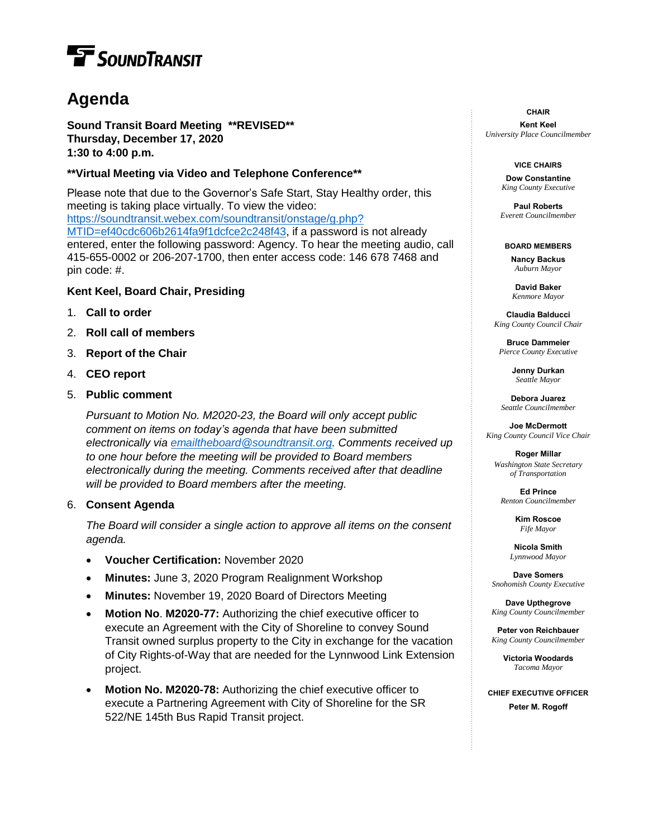# **T** SOUND TRANSIT

## **Agenda**

**Sound Transit Board Meeting \*\*REVISED\*\* Thursday, December 17, 2020 1:30 to 4:00 p.m.**

#### **\*\*Virtual Meeting via Video and Telephone Conference\*\***

Please note that due to the Governor's Safe Start, Stay Healthy order, this meeting is taking place virtually. To view the video: [https://soundtransit.webex.com/soundtransit/onstage/g.php?](https://soundtransit.webex.com/soundtransit/onstage/g.php?MTID=ef40cdc606b2614fa9f1dcfce2c248f43) [MTID=ef40cdc606b2614fa9f1dcfce2c248f43,](https://soundtransit.webex.com/soundtransit/onstage/g.php?MTID=ef40cdc606b2614fa9f1dcfce2c248f43) if a password is not already entered, enter the following password: Agency. To hear the meeting audio, call 415-655-0002 or 206-207-1700, then enter access code: 146 678 7468 and pin code: #.

#### **Kent Keel, Board Chair, Presiding**

- 1. **Call to order**
- 2. **Roll call of members**
- 3. **Report of the Chair**
- 4. **CEO report**
- 5. **Public comment**

*Pursuant to Motion No. M2020-23, the Board will only accept public comment on items on today's agenda that have been submitted electronically via [emailtheboard@soundtransit.org.](mailto:emailtheboard@soundtransit.org) Comments received up to one hour before the meeting will be provided to Board members electronically during the meeting. Comments received after that deadline will be provided to Board members after the meeting.*

#### 6. **Consent Agenda**

*The Board will consider a single action to approve all items on the consent agenda.*

- **Voucher Certification:** November 2020
- **Minutes:** June 3, 2020 Program Realignment Workshop
- **Minutes:** November 19, 2020 Board of Directors Meeting
- **Motion No**. **M2020-77:** Authorizing the chief executive officer to execute an Agreement with the City of Shoreline to convey Sound Transit owned surplus property to the City in exchange for the vacation of City Rights-of-Way that are needed for the Lynnwood Link Extension project.
- **Motion No. M2020-78:** Authorizing the chief executive officer to execute a Partnering Agreement with City of Shoreline for the SR 522/NE 145th Bus Rapid Transit project.

**CHAIR**

**Kent Keel** *University Place Councilmember*

#### **VICE CHAIRS**

**Dow Constantine** *King County Executive*

**Paul Roberts** *Everett Councilmember*

**BOARD MEMBERS Nancy Backus** *Auburn Mayor*

> **David Baker** *Kenmore Mayor*

**Claudia Balducci**  *King County Council Chair*

**Bruce Dammeier** *Pierce County Executive*

> **Jenny Durkan** *Seattle Mayor*

**Debora Juarez** *Seattle Councilmember*

**Joe McDermott** *King County Council Vice Chair*

**Roger Millar** *Washington State Secretary of Transportation*

**Ed Prince** *Renton Councilmember*

> **Kim Roscoe** *Fife Mayor*

**Nicola Smith** *Lynnwood Mayor*

**Dave Somers** *Snohomish County Executive*

**Dave Upthegrove** *King County Councilmember*

**Peter von Reichbauer** *King County Councilmember*

> **Victoria Woodards** *Tacoma Mayor*

**CHIEF EXECUTIVE OFFICER Peter M. Rogoff**